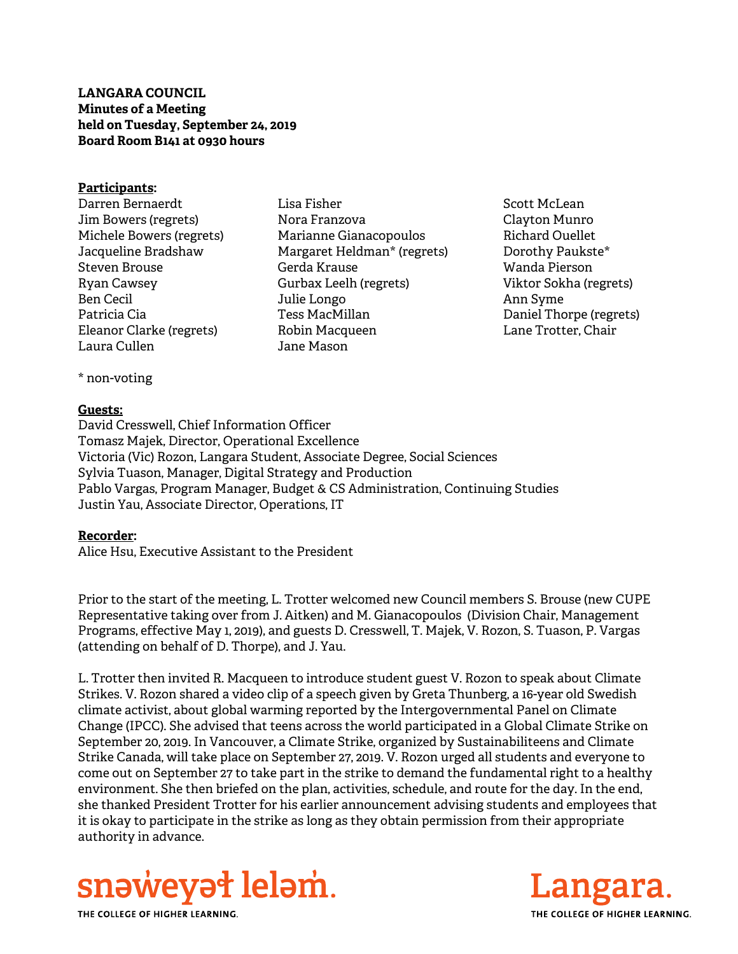**LANGARA COUNCIL Minutes of a Meeting held on Tuesday, September 24, 2019 Board Room B141 at 0930 hours** 

#### **Participants:**

- Darren Bernaerdt Jim Bowers (regrets) Michele Bowers (regrets) Jacqueline Bradshaw Steven Brouse Ryan Cawsey Ben Cecil Patricia Cia Eleanor Clarke (regrets) Laura Cullen
- Lisa Fisher Nora Franzova Marianne Gianacopoulos Margaret Heldman\* (regrets) Gerda Krause Gurbax Leelh (regrets) Julie Longo Tess MacMillan Robin Macqueen Jane Mason
- Scott McLean Clayton Munro Richard Ouellet Dorothy Paukste\* Wanda Pierson Viktor Sokha (regrets) Ann Syme Daniel Thorpe (regrets) Lane Trotter, Chair

\* non-voting

#### **Guests:**

David Cresswell, Chief Information Officer Tomasz Majek, Director, Operational Excellence Victoria (Vic) Rozon, Langara Student, Associate Degree, Social Sciences Sylvia Tuason, Manager, Digital Strategy and Production Pablo Vargas, Program Manager, Budget & CS Administration, Continuing Studies Justin Yau, Associate Director, Operations, IT

## **Recorder:**

Alice Hsu, Executive Assistant to the President

Prior to the start of the meeting, L. Trotter welcomed new Council members S. Brouse (new CUPE Representative taking over from J. Aitken) and M. Gianacopoulos (Division Chair, Management Programs, effective May 1, 2019), and guests D. Cresswell, T. Majek, V. Rozon, S. Tuason, P. Vargas (attending on behalf of D. Thorpe), and J. Yau.

L. Trotter then invited R. Macqueen to introduce student guest V. Rozon to speak about Climate Strikes. V. Rozon shared a video clip of a speech given by Greta Thunberg, a 16-year old Swedish climate activist, about global warming reported by the Intergovernmental Panel on Climate Change (IPCC). She advised that teens across the world participated in a Global Climate Strike on September 20, 2019. In Vancouver, a Climate Strike, organized by Sustainabiliteens and Climate Strike Canada, will take place on September 27, 2019. V. Rozon urged all students and everyone to come out on September 27 to take part in the strike to demand the fundamental right to a healthy environment. She then briefed on the plan, activities, schedule, and route for the day. In the end, she thanked President Trotter for his earlier announcement advising students and employees that it is okay to participate in the strike as long as they obtain permission from their appropriate authority in advance.



THE COLLEGE OF HIGHER LEARNING.

Langa THE COLLEGE OF HIGHER LEARNING.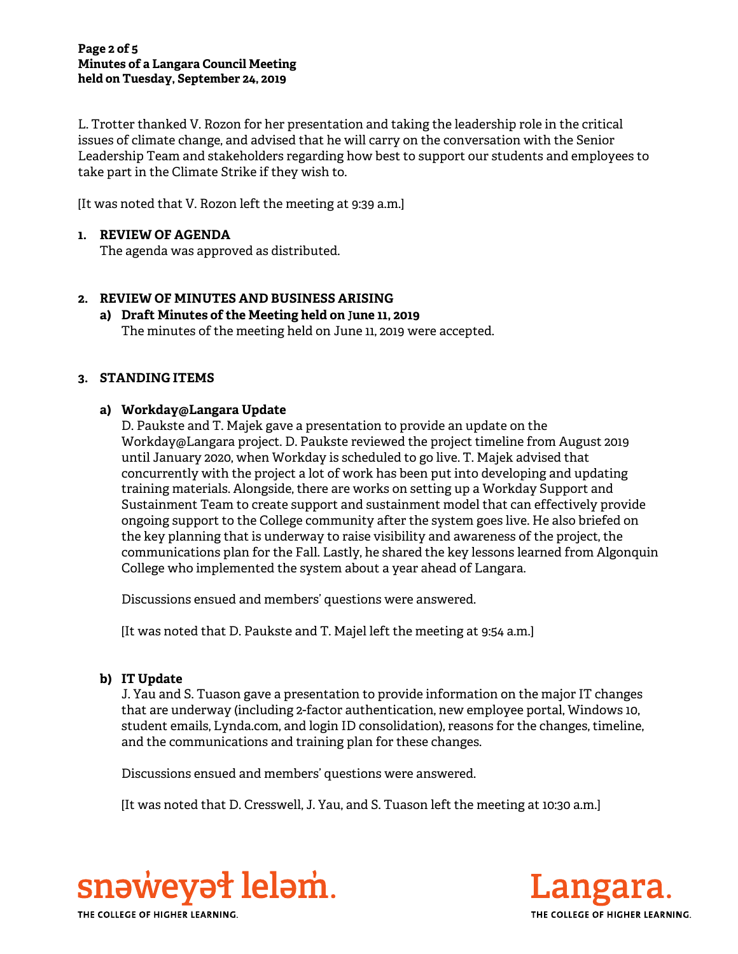#### **Page 2 of 5 Minutes of a Langara Council Meeting held on Tuesday, September 24, 2019**

L. Trotter thanked V. Rozon for her presentation and taking the leadership role in the critical issues of climate change, and advised that he will carry on the conversation with the Senior Leadership Team and stakeholders regarding how best to support our students and employees to take part in the Climate Strike if they wish to.

[It was noted that V. Rozon left the meeting at 9:39 a.m.]

# **1. REVIEW OF AGENDA**

The agenda was approved as distributed.

# **2. REVIEW OF MINUTES AND BUSINESS ARISING**

# **a) Draft Minutes of the Meeting held on** J**une 11, 2019**

The minutes of the meeting held on June 11, 2019 were accepted.

## **3. STANDING ITEMS**

# **a) Workday@Langara Update**

D. Paukste and T. Majek gave a presentation to provide an update on the Workday@Langara project. D. Paukste reviewed the project timeline from August 2019 until January 2020, when Workday is scheduled to go live. T. Majek advised that concurrently with the project a lot of work has been put into developing and updating training materials. Alongside, there are works on setting up a Workday Support and Sustainment Team to create support and sustainment model that can effectively provide ongoing support to the College community after the system goes live. He also briefed on the key planning that is underway to raise visibility and awareness of the project, the communications plan for the Fall. Lastly, he shared the key lessons learned from Algonquin College who implemented the system about a year ahead of Langara.

Discussions ensued and members' questions were answered.

[It was noted that D. Paukste and T. Majel left the meeting at 9:54 a.m.]

# **b) IT Update**

J. Yau and S. Tuason gave a presentation to provide information on the major IT changes that are underway (including 2-factor authentication, new employee portal, Windows 10, student emails, Lynda.com, and login ID consolidation), reasons for the changes, timeline, and the communications and training plan for these changes.

Discussions ensued and members' questions were answered.

[It was noted that D. Cresswell, J. Yau, and S. Tuason left the meeting at 10:30 a.m.]



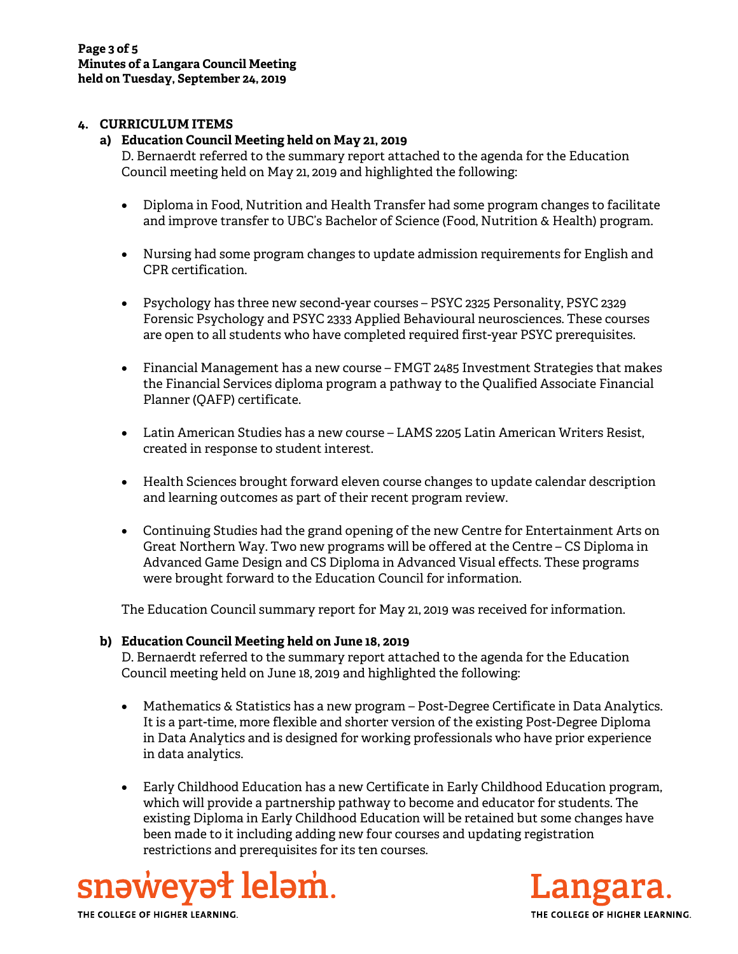## **4. CURRICULUM ITEMS**

#### **a) Education Council Meeting held on May 21, 2019**

D. Bernaerdt referred to the summary report attached to the agenda for the Education Council meeting held on May 21, 2019 and highlighted the following:

- Diploma in Food, Nutrition and Health Transfer had some program changes to facilitate and improve transfer to UBC's Bachelor of Science (Food, Nutrition & Health) program.
- Nursing had some program changes to update admission requirements for English and CPR certification.
- Psychology has three new second-year courses PSYC 2325 Personality, PSYC 2329 Forensic Psychology and PSYC 2333 Applied Behavioural neurosciences. These courses are open to all students who have completed required first-year PSYC prerequisites.
- Financial Management has a new course FMGT 2485 Investment Strategies that makes the Financial Services diploma program a pathway to the Qualified Associate Financial Planner (QAFP) certificate.
- Latin American Studies has a new course LAMS 2205 Latin American Writers Resist, created in response to student interest.
- Health Sciences brought forward eleven course changes to update calendar description and learning outcomes as part of their recent program review.
- Continuing Studies had the grand opening of the new Centre for Entertainment Arts on Great Northern Way. Two new programs will be offered at the Centre – CS Diploma in Advanced Game Design and CS Diploma in Advanced Visual effects. These programs were brought forward to the Education Council for information.

The Education Council summary report for May 21, 2019 was received for information.

## **b) Education Council Meeting held on June 18, 2019**

D. Bernaerdt referred to the summary report attached to the agenda for the Education Council meeting held on June 18, 2019 and highlighted the following:

- Mathematics & Statistics has a new program Post-Degree Certificate in Data Analytics. It is a part-time, more flexible and shorter version of the existing Post-Degree Diploma in Data Analytics and is designed for working professionals who have prior experience in data analytics.
- Early Childhood Education has a new Certificate in Early Childhood Education program, which will provide a partnership pathway to become and educator for students. The existing Diploma in Early Childhood Education will be retained but some changes have been made to it including adding new four courses and updating registration restrictions and prerequisites for its ten courses.





THE COLLEGE OF HIGHER LEARNING.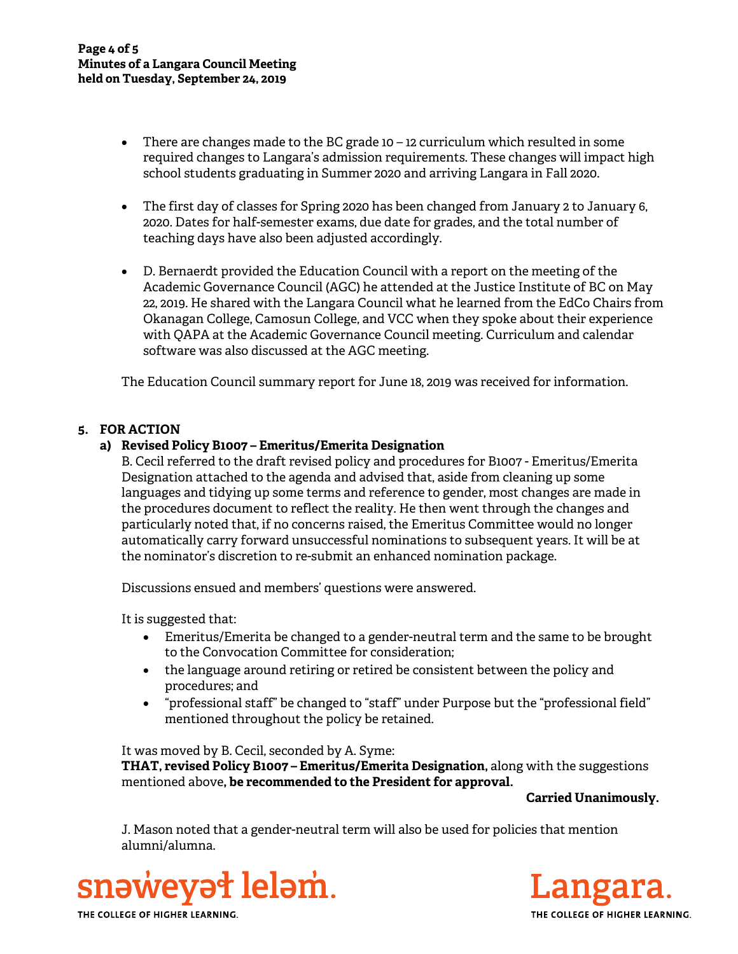- $\bullet$  There are changes made to the BC grade 10 12 curriculum which resulted in some required changes to Langara's admission requirements. These changes will impact high school students graduating in Summer 2020 and arriving Langara in Fall 2020.
- The first day of classes for Spring 2020 has been changed from January 2 to January 6, 2020. Dates for half-semester exams, due date for grades, and the total number of teaching days have also been adjusted accordingly.
- D. Bernaerdt provided the Education Council with a report on the meeting of the Academic Governance Council (AGC) he attended at the Justice Institute of BC on May 22, 2019. He shared with the Langara Council what he learned from the EdCo Chairs from Okanagan College, Camosun College, and VCC when they spoke about their experience with QAPA at the Academic Governance Council meeting. Curriculum and calendar software was also discussed at the AGC meeting.

The Education Council summary report for June 18, 2019 was received for information.

## **5. FOR ACTION**

## **a) Revised Policy B1007 – Emeritus/Emerita Designation**

B. Cecil referred to the draft revised policy and procedures for B1007 - Emeritus/Emerita Designation attached to the agenda and advised that, aside from cleaning up some languages and tidying up some terms and reference to gender, most changes are made in the procedures document to reflect the reality. He then went through the changes and particularly noted that, if no concerns raised, the Emeritus Committee would no longer automatically carry forward unsuccessful nominations to subsequent years. It will be at the nominator's discretion to re-submit an enhanced nomination package.

Discussions ensued and members' questions were answered.

It is suggested that:

- Emeritus/Emerita be changed to a gender-neutral term and the same to be brought to the Convocation Committee for consideration;
- the language around retiring or retired be consistent between the policy and procedures; and
- "professional staff" be changed to "staff" under Purpose but the "professional field" mentioned throughout the policy be retained.

It was moved by B. Cecil, seconded by A. Syme:

**THAT, revised Policy B1007 – Emeritus/Emerita Designation,** along with the suggestions mentioned above**, be recommended to the President for approval.** 

**Carried Unanimously.** 

J. Mason noted that a gender-neutral term will also be used for policies that mention alumni/alumna.